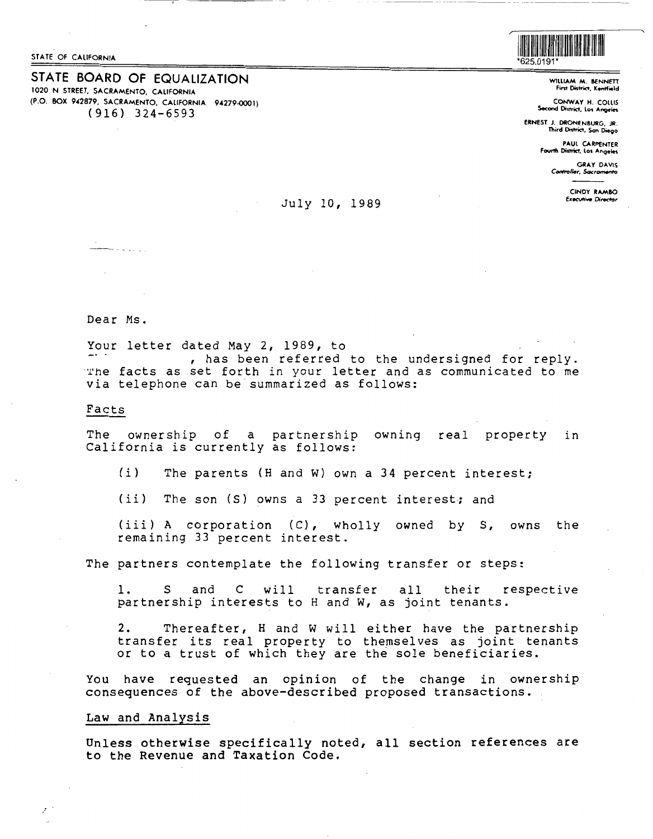STATE OF CALIFORNIA

STATE BOARD OF EQUALIZATION 1020 N STREET, SACRAMENTO, CALIFORNIA (P.O. BOX 942879, SACRAMENTO, CALIFORNIA 94279-0001)  $(916)$  324-6593



WILLIAM M. BENNETT First District, Kentfield

CONWAY H. COLLIS Second District, Los Angeles

ERNEST J. DRONENBURG, JR. Third District, San Diego

> **PAUL CARPENTER** Fourth District, Los Angeles

> > **GRAY DAVIS** Controller, Sacromento

> > > CINDY RAMRO **Executive Director**

# July 10, 1989

------

Dear Ms.

Your letter dated May 2, 1989, to , has been referred to the undersigned for reply. The facts as set forth in your letter and as communicated to me via telephone can be summarized as follows:

# Facts

The ownership of a partnership owning real property in California is currently as follows:

 $(i)$ The parents (H and W) own a 34 percent interest;

 $(iii)$ The son (S) owns a 33 percent interest; and

(iii) A corporation (C), wholly owned by S, owns the remaining 33 percent interest.

The partners contemplate the following transfer or steps:

 $\mathbf{1}$ . S and  $\mathsf{C}$ will transfer  $a11$ their respective partnership interests to H and W, as joint tenants.

 $2.$ Thereafter, H and W will either have the partnership transfer its real property to themselves as joint tenants<br>or to a trust of which they are the sole beneficiaries.

You have requested an opinion of the change in ownership consequences of the above-described proposed transactions.

### Law and Analysis

Unless otherwise specifically noted, all section references are to the Revenue and Taxation Code.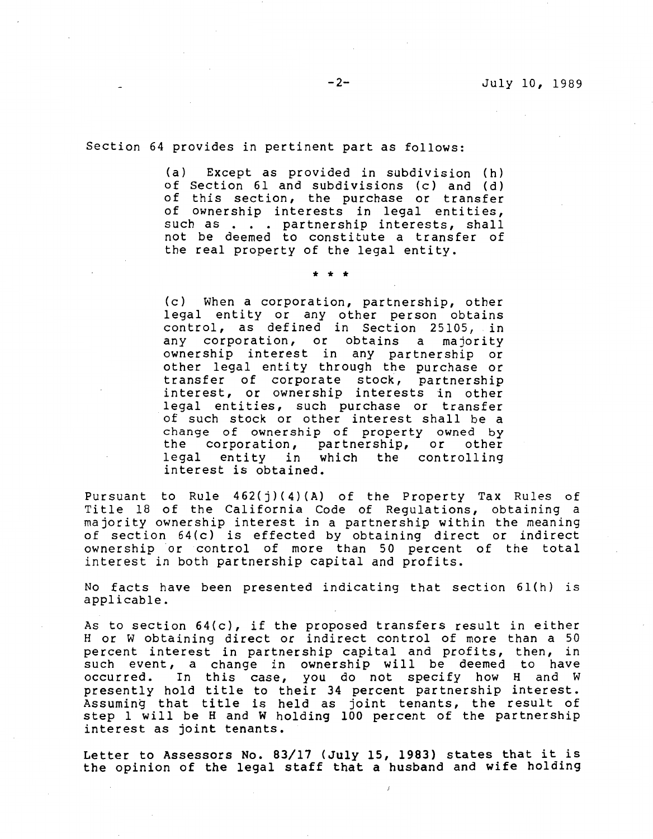Section 64 provides in pertinent part as follows:

(a) Except as provided in subdivision (h) of Section 61 and subdivisions (c) and (d) of this section, the purchase or transfer of ownership interests in legal entities, such as . . . partnership interests, shall not be deemed to constitute a transfer of the real property of the legal entity.

\* \* \*

(c) When a corporation, partnership, other legal entity or any other person obtains control, as defined in Section 25105, in any corporation, or obtains a majority ownership interest in any partnership or other legal entity through the purchase or transfer of corporate stock, partnership interest, or ownership interests in other legal entities, such purchase or transfer of such stock or other interest shall be a change of ownership of property owned by<br>the corporation, partnership, or other the corporation, partnership, or legal entity in which the controlling interest is obtained.

Pursuant to Rule  $462(j)(4)(A)$  of the Property Tax Rules of Title 18 of the California Code of Regulations, obtaining a majority ownership interest in a partnership within the meaning of section 64 (c) is effected by obtaining direct or indirect ownership or control of more than 50 percent of the total interest in both partnership capital and profits.

No facts have been presented indicating that section  $61(h)$  is applicable.

As to section 64(c), if the proposed transfers result in either Hor w obtaining direct or indirect control of more than a 50 percent interest in partnership capital and profits, then, in such event, a change in ownership will be deemed to have occurred. In this case, you do not specify how H and W presently hold title to their 34 percent partnership interest. Assuming that title is held as joint tenants, the result of step 1 will be H and W holding 100 percent of the partnership interest as joint tenants.

Letter to Assessors No. 83/17 (July 15, 1983) states that it is Letter to Assessors No. 63/17 (6dry 13, 1983) seaces that it is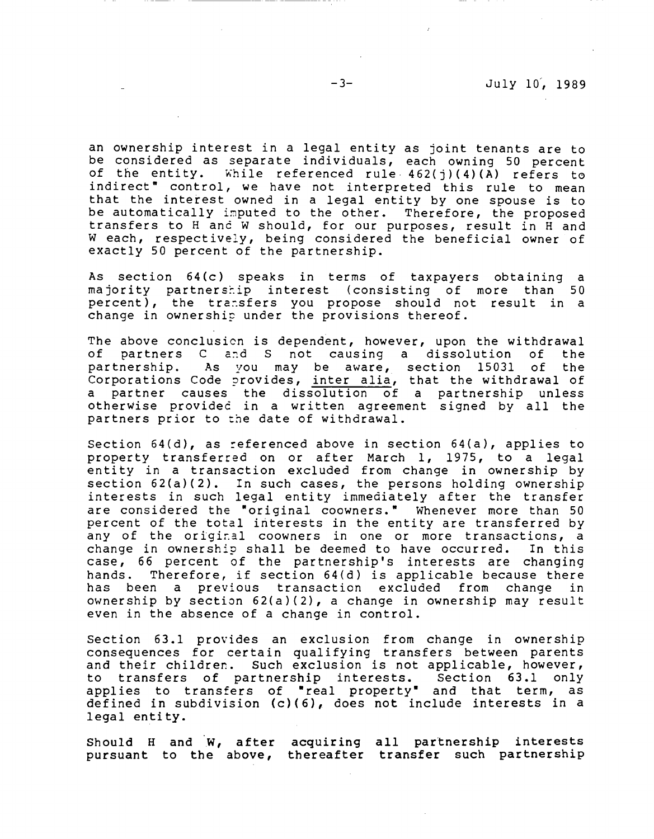an ownership interest in a legal entity as joint tenants are to be considered as separate individuals, each owning SO percent of the entity. While referenced rule  $462(j)(4)(A)$  refers to indirect" control, we have not interpreted this rule to mean that the interest owned in a legal entity by one spouse is to be automatically imputed to the other. Therefore, the proposed transfers to H and W should, for our purposes, result in H and W each, respectively, being considered the beneficial owner of exactly 50 percent of the partnership.

As section 64(c) speaks in terms of taxpayers obtaining a majority partnership interest (consisting of more than 50 percent), the transfers you propose should not result in a change in ownership under the provisions thereof.

The above conclusion is dependent, however, upon the withdrawal<br>of partners C and S not causing a dissolution of the of partners C and S not causing a dissolution partnership. As you may be aware, section 15031 of the parencremip. The year may be aware, becefor 19891 of the a partner causes the dissolution of a partnership unless otherwise providec in a written agreement signed by all the partners prior to the date of withdrawal.

Section  $64(d)$ , as referenced above in section  $64(a)$ , applies to property transferred on or after March 1, 1975, to a legal entity in a transaction excluded from change in ownership by section 62(a)(2). In such cases, the persons holding ownership interests in such legal entity immediately after the transfer are considered the "original coowners." Whenever more than 50 percent of the total interests in the entity are transferred by any of the original coowners in one or more transactions, a change in ownership shall be deemed to have occurred. In this case, 66 percent of the partnership's interests are changing hands. Therefore, if section 64(d) is applicable because there has been a previous transaction excluded from change in ownership by section 62(a)(2), a change in ownership may result even in the absence of a change in control.

Section 63.1 provides an exclusion from change in ownership consequences for certain qualifying transfers between parents and their children. Such exclusion is not applicable, however,<br>to transfers of partnership interests. Section 63.1 only to transfers of partnership interests. applies to transfers of "real property• and that term, as defined in subdivision (c)(6), does not include interests in a legal entity.

Should H and W, after acquiring all partnership interests pursuant to the above, thereafter transfer such partnership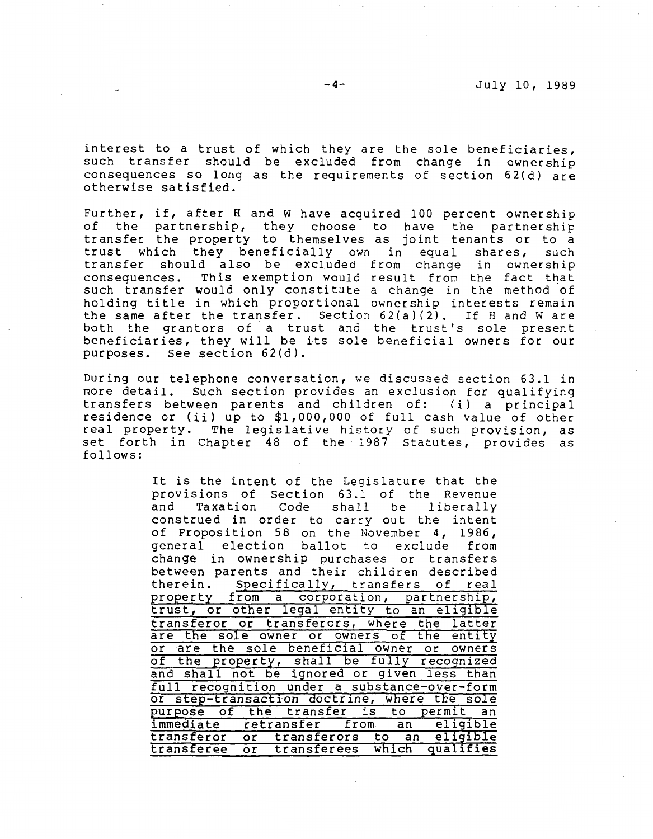interest to a trust of which they are the sole beneficiaries, such transfer should be excluded from change in ownership consequences so long as the requirements of section 62(d) are otherwise satisfied.

Further, if, after H and W have acquired 100 percent ownership of the partnership, they choose to have the partnership transfer the property to themselves as joint tenants or to a trust which they beneficially own in equal shares, such transfer should also be excluded from change in ownership consequences. This exemption would result from the fact that such transfer would only constitute a change in the method of holding title in which proportional ownership interests remain the same after the transfer. Section 62(a)(2). If Hand Ware both the grantors of a trust and the trust's sole present beneficiaries, they will be its sole beneficial owners for our purposes. See section 62(d).

During our telephone conversation, we discussed section 63.1 in more detail. Such section provides an exclusion for qualifying transfers between parents and children of: (i) a principal residence or (ii) up to \$1,000,000 of full cash value of other real property. The legislative history of such provision, as set forth in Chapter 48 of the 1987 Statutes, provides as follows:

> It is the intent of the Legislature that the provisions of Section 63.1 of the Revenue<br>and Taxation Code shall be liberally Taxation Code shall be liberally construed in order to carry out the intent of Proposition 58 on the November 4, 1986, general election ballot to exclude from change in ownership purchases or transfers between parents and their children described therein. Specifically, transfers of real property from a corporation, partnership, trust, or other legal entity to an eligible transferor or transferors, where the latter are the sole owner or owners of the entity or are the sole beneficial owner or owners of the property, shall be fully recognized and shall not be ignored or given less than full recognition under a substance-over-form or step-transaction doctrine, where the sole purpose of the transfer is to permit an immediate retransfer from an eligible transferor or transferors to an eligible transferee or transferees which qualifies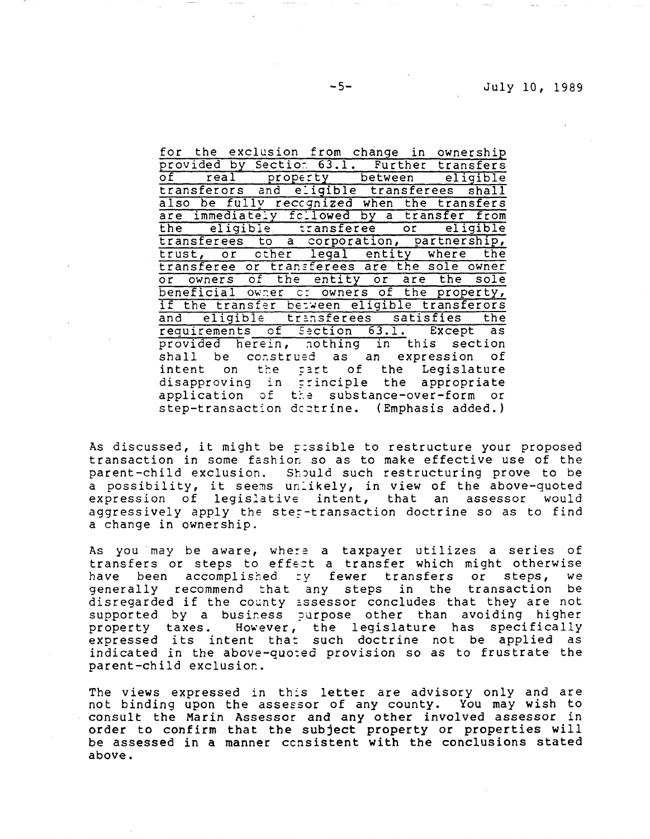|  |  |  |  |  | for the exclusion from change in ownership                                        |  |
|--|--|--|--|--|-----------------------------------------------------------------------------------|--|
|  |  |  |  |  | provided by Section 63.1. Further transfers                                       |  |
|  |  |  |  |  | of real property between eligible                                                 |  |
|  |  |  |  |  | transferors and eligible transferees shall                                        |  |
|  |  |  |  |  | also be fully recognized when the transfers                                       |  |
|  |  |  |  |  | are immediately fcllowed by a transfer from                                       |  |
|  |  |  |  |  | the eligible transferee or eligible<br>transferees to a corporation, partnership, |  |
|  |  |  |  |  |                                                                                   |  |
|  |  |  |  |  | trust, or other legal entity where the                                            |  |
|  |  |  |  |  | transferee or transferees are the sole owner                                      |  |
|  |  |  |  |  | or owners of the entity or are the sole                                           |  |
|  |  |  |  |  | beneficial owner or owners of the property,                                       |  |
|  |  |  |  |  | if the transfer between eligible transferors                                      |  |
|  |  |  |  |  | and eligible transferees satisfies the                                            |  |
|  |  |  |  |  | requirements of Section 63.1. Except as                                           |  |
|  |  |  |  |  | provided herein, nothing in this section                                          |  |
|  |  |  |  |  | shall be construed as an expression of                                            |  |
|  |  |  |  |  | intent on the part of the Legislature                                             |  |
|  |  |  |  |  | disapproving in principle the appropriate                                         |  |
|  |  |  |  |  | application of the substance-over-form or                                         |  |
|  |  |  |  |  | step-transaction dectrine. (Emphasis added.)                                      |  |

As discussed, it might be p:ssible to restructure your proposed transaction in some fashion so as to make effective use of the parent-child exclusion. Should such restructuring prove to be parenc-entra exclusion. Should such restructuring prove to be<br>a possibility, it seems unlikely, in view of the above-quoted a possibility, it seems unfinity, in view of the above quoted aggressively apply the ster-transaction doctrine so as to find a change in ownership.

As you may be aware, where a taxpayer utilizes a series of transfers or steps to effect a transfer which might otherwise<br>have been accomplished by fewer transfers or steps. we have been accomplished by fewer transfers or steps, generally recommend that any steps in the transaction be disregarded if the county assessor concludes that they are not supported by a business purpose other than avoiding higher property taxes. However, the legislature has specifically expressed its intent that such doctrine not be applied as indicated in the above-quo:ed provision so as to frustrate the parent-child exclusior..

The views expressed in th:s letter are advisory only and are not binding upon the assessor of any county. You may wish to consult the Marin Assessor and any other involved assessor in order to confirm that the subject property or properties will be assessed in a manner ccnsistent with the conclusions stated above.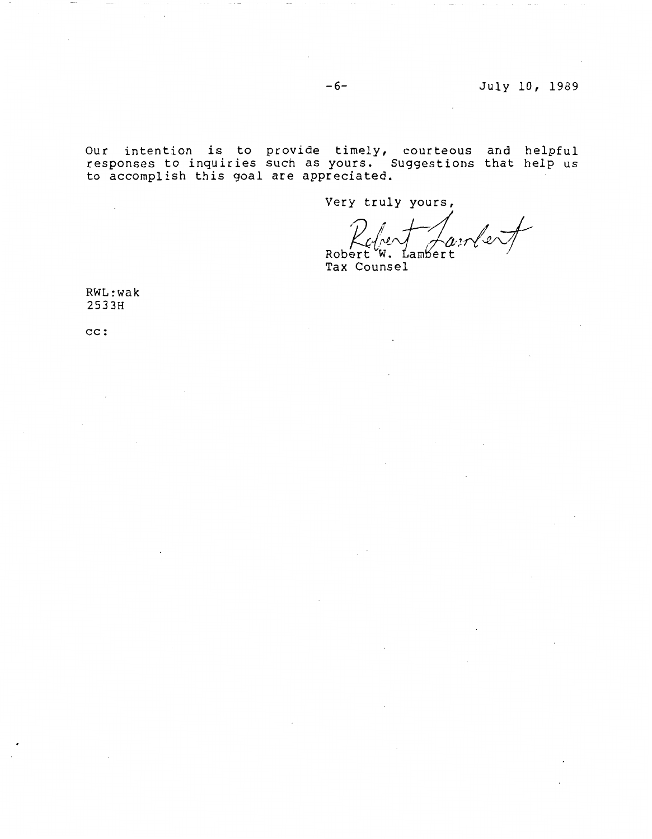-6- July 10, 1989

Our intention is to provide timely, courteous and helpful responses to inquiries such as yours. Suggestions that help us to accomplish this goal are appreciated.

Very truly yours,

~4a,, *-I*

Robert W. Lambert Tax Counsel

RWL:wak 2533H

 $\mathcal{L}_{\mathcal{A}}$ 

cc: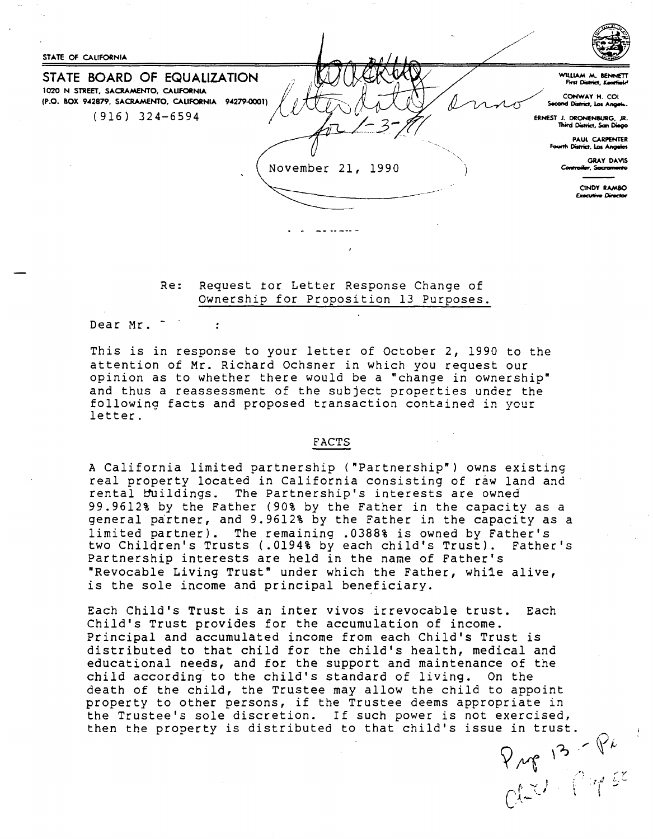

Re: Request for Letter Response Change of Ownership for Proposition 13 Purposes.

Dear Mr.  $\bullet$ 

This is in response to your letter of October 2, 1990 to the attention of Mr. Richard Ochsner in which you request our opinion as to whether there would be a "change in ownership" and thus a reassessment of the subject properties under the following facts and proposed transaction contained in your letter.

### **FACTS**

A California limited partnership ("Partnership") owns existing real property located in California consisting of raw land and rental buildings. The Partnership's interests are owned 99.9612% by the Father (90% by the Father in the capacity as a general partner, and 9.9612% by the Father in the capacity as a limited partner). The remaining .0388% is owned by Father's two Children's Trusts (.0194% by each child's Trust). Father's Partnership interests are held in the name of Father's "Revocable Living Trust" under which the Father, while alive, is the sole income and principal beneficiary.

Each Child's Trust is an inter vivos irrevocable trust. Each Child's Trust provides for the accumulation of income. Principal and accumulated income from each Child's Trust is distributed to that child for the child's health, medical and educational needs, and for the support and maintenance of the child according to the child's standard of living. On the death of the child, the Trustee may allow the child to appoint property to other persons, if the Trustee deems appropriate in the Trustee's sole discretion. If such power is not exercised, then the property is distributed to that child's issue in trust  $\frac{1}{\sqrt{1-\frac{1}{2}}}$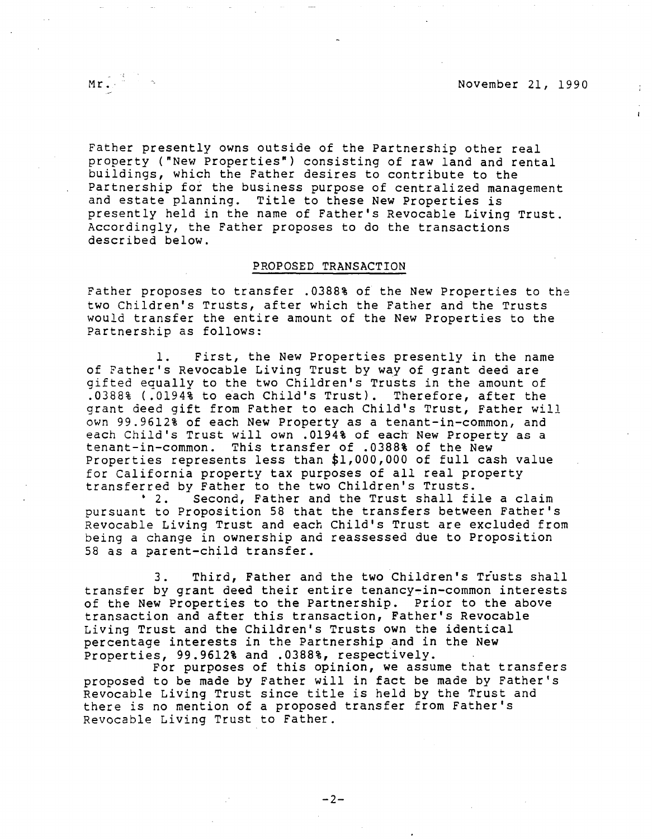Mr. November 21, 1990

 $\mathbf{r}$ 

Father presently owns outside of the Partnership other real property ("New Properties") consisting of raw land and rental buildings, which the Father desires to contribute to the Partnership for the business purpose of centralized management and estate planning. Title to these New Properties is presently held in the name of Father's Revocable Living Trust. Accordingly, the Father proposes to do the transactions described below.

# PROPOSED **TRANSACTION**

Father proposes to transfer .0388% of the New Properties to the two Children's Trusts, after which the Father and the Trusts would transfer the entire amount of the New Properties to the Partnership as follows:

1. First, the New Properties presently in the name of Father's Revocable Living Trust by way of grant deed are gifted equally to the two Children's Trusts in the amount of .0388% ( .0194% to each Child's Trust). Therefore, after the grant deed gift from Father to each Child's Trust, Father will own 99.9612% of each New Property as a tenant-in-common, and each Child's Trust will own .0194% of each New Property as a tenant-in-common. This transfer of .0388% of the New Properties represents less than \$1,000,000 of full cash value for California property tax purposes of all real property transferred by Father to the two Children's Trusts.

• 2. Second, Father and the Trust shall file a claim pursuant to Proposition 58 that the transfers between Father's Revocable Living Trust and each Child's Trust are excluded from being a change in ownership and reassessed due to Proposition 58 as a parent-child transfer.

3. Third, Father and the two Children's Trusts shall transfer by grant deed their entire tenancy-in-common interests of the New Properties to the Partnership. Prior to the above transaction and after this transaction, Father's Revocable Living Trust and the Children's Trusts own the identical percentage interests in the Partnership and in the New Properties, 99.9612% and .0388%, respectively.

For purposes of this opinion, we assume that transfers proposed to be made by Father will in fact be made by Father's Revocable Living Trust since title is held by the Trust and there is no mention of a proposed transfer from Father's Revocable Living Trust to Father.

 $-2-$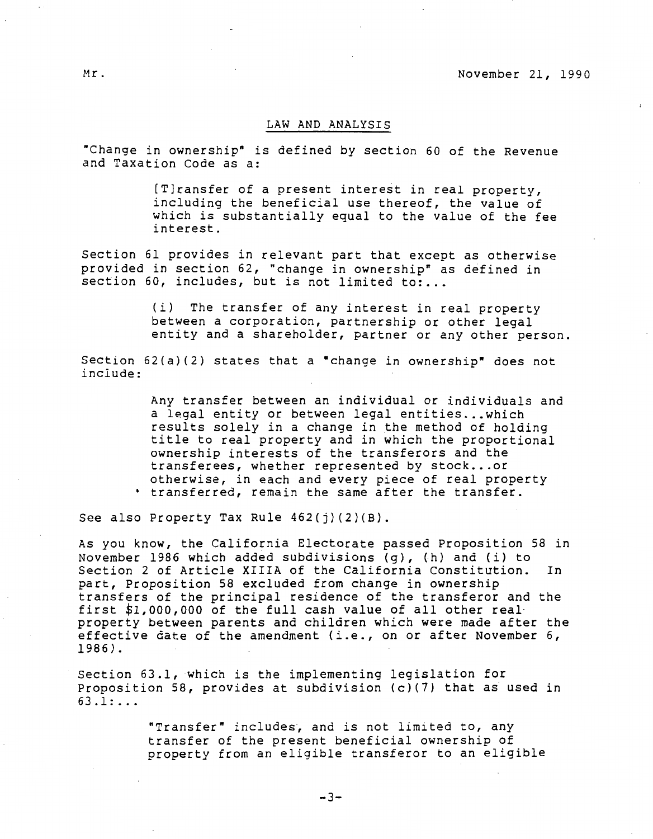### LAW AND ANALYSIS

"Change in ownership" is defined by section 60 of the Revenue and Taxation Code as a:

> [T]ransfer of a present interest in real property, including the beneficial use thereof, the value of which is substantially equal to the value of the fee interest.

Section 61 provides in relevant part that except as otherwise provided in section 62, "change in ownership" as defined in section 60, includes, but is not limited to:...

> (i) The transfer of any interest in real property between a corporation, partnership or other legal entity and a shareholder, partner or any other person.

Section 62(a)(2) states that a "change in ownership" does not include:

> Any transfer between an individual or individuals and a legal entity or between legal entities...which results solely in a change in the method of holding title to real property and in which the proportional ownership interests of the transferors and the transferees, whether represented by stock ... or otherwise, in each and every piece of real property transferred, remain the same after the transfer.

See also Property Tax Rule  $462(j)(2)(B)$ .

As you know, the California Electorate passed Proposition 58 in November 1986 which added subdivisions (g), (h) and (i) to Section 2 of Article **XIIIA** of the California Constitution. In part, Proposition 58 excluded from change in ownership transfers of the principal residence of the transferor and the first \$1,000,000 of the full cash value of all other realproperty between parents and children which were made after the effective date of the amendment (i.e., on or after November 6, 1986).

Section 63.1, which is the implementing legislation for Proposition 58, provides at subdivision (c)(7) that as used in 63 .1: ...

> "Transfer" includes, and is not limited to, any transfer of the present beneficial ownership of property from an eligible transferor to an eligible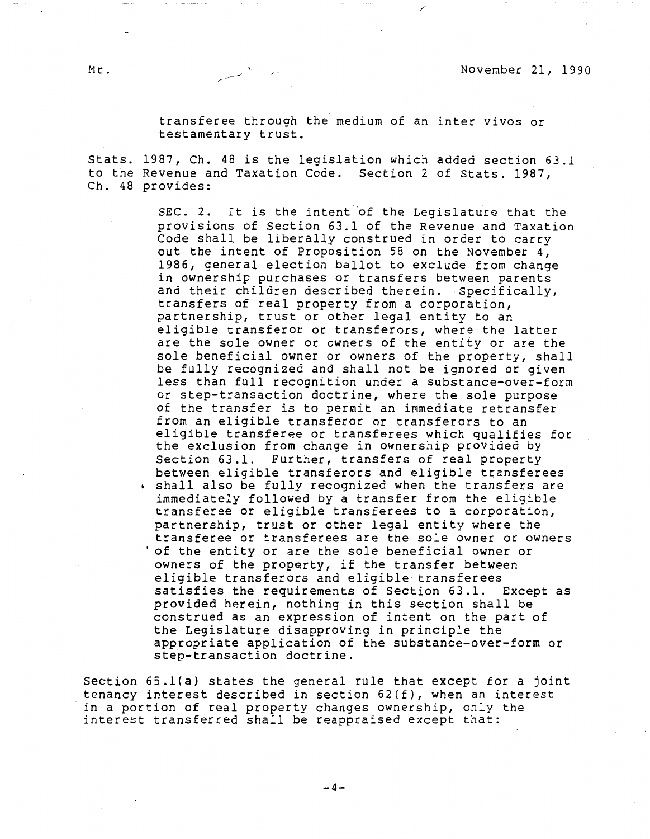Stats. 1987, Ch. 48 is the legislation which added section 63.l to the Revenue and Taxation Code. Section 2 of Stats. 1987, Ch. 48 provides:

> SEC. 2. It is the intent of the Legislature that the provisions of Section 63.1 of the Revenue and Taxation Code shall be liberally construed in order to carry out the intent of Proposition 58 on the November 4, 1986, general election ballot to exclude from change in ownership purchases or transfers between parents and their children described therein. Specifically, transfers of real property from a corporation, partnership, trust or other legal entity to an eligible transferor or transferors, where the latter are the sole owner or owners of the entity or are the sole beneficial owner or owners of the property, shall be fully recognized and shall not be ignored or given less than full recognition under a substance-over-form or step-transaction doctrine, where the sole purpose of the transfer is to permit an immediate retransfer from an eligible transferor or transferors to an eligible transferee or transferees which qualifies for the exclusion from change in ownership provided by Section 63.1. Further, transfers of real property between eligible transferors and eligible transferees shall also be fully recognized when the transfers are immediately followed by a transfer from the eligible transferee or eligible transferees to a corporation, partnership, trust or other legal entity where the transferee or transferees are the sole owner or owners 'of the entity or are the sole beneficial owner or owners of the property, if the transfer between eligible transferors and eligible transferees satisfies the requirements of Section 63.1. Except as provided herein, nothing in this section shall be construed as an expression of intent on the part of the Legislature disapproving in principle the appropriate application of the substance-over-form or step-transaction doctrine.

Section 65.l(a) states the general rule that except for a joint tenancy interest described in section 62(f), when an interest in a portion of real property changes ownership, only the interest transferred shall be reappraised except that: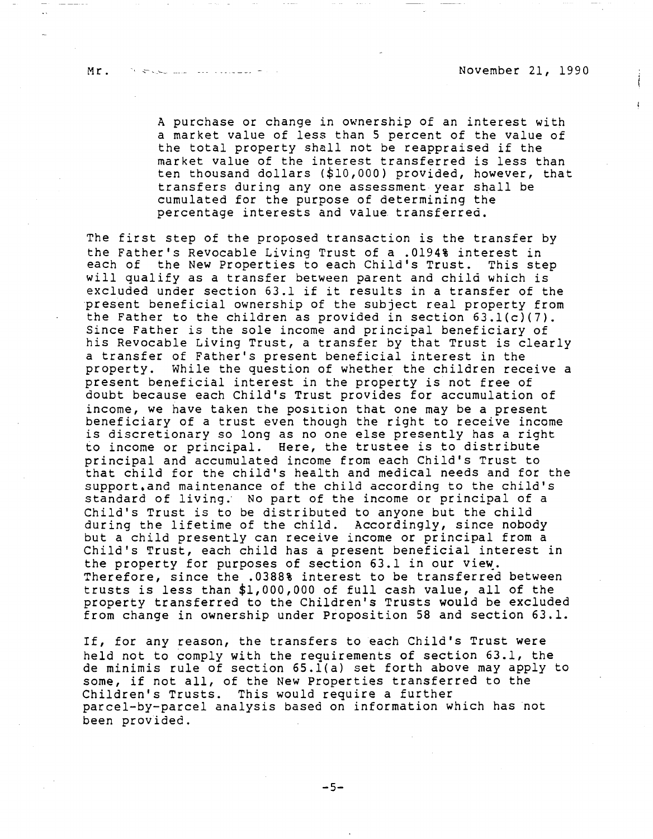Mr. November 21, 1990

A purchase or change in ownership of an interest with a market value of less than 5 percent of the value of the total property shall not be reappraised if the market value of the interest transferred is less than ten thousand dollars (\$10,000) provided, however, that transfers during any one assessment year shall be cumulated for the purpose of determining the percentage interests and value transferred.

The first step of the proposed transaction is the transfer by the Father's Revocable Living Trust of a .0194% interest in each of the New Properties to each Child's Trust. This step will qualify as a transfer between parent and child which is excluded under section 63.l if it results in a transfer of the present beneficial ownership of the subject real property from the Father to the children as provided in section 63.l(c)(7). Since Father is the sole income and principal beneficiary of his Revocable Living Trust, a transfer by that Trust is clearly a transfer of Father's present beneficial interest in the property. While the question of whether the children receive a present beneficial interest in the property is not free of doubt because each Child's Trust provides for accumulation of income, we have taken the position that one may be a present beneficiary of a trust even though the right to receive income is discretionary so long as no one else presently has a right to income or principal. Here, the trustee is to distribute principal and accumulated income from each Child's Trust to that child for the child's health and medical needs and for the support.and maintenance of the child according to the child's standard of living. No part of the income or principal of a Child's Trust is to be distributed to anyone but the child during the lifetime of the child. Accordingly, since nobody but a child presently can receive income or principal from a Child's Trust, each child has a present beneficial interest in the property for purposes of section  $63.1$  in our view. Therefore, since the .0388% interest to be transferred between trusts is less than \$1,000,000 of full cash value, all of the property transferred to the Children's Trusts would be excluded from change in ownership under Proposition 58 and section 63.1.

If, for any reason, the transfers to each Child's Trust were held not to comply with the requirements of section 63.1, the de minimis rule of section 65.l(a) set forth above may apply to some, if not all, of the New Properties transferred to the Children's Trusts. This would require a further parcel-by-parcel analysis based on information which has not been provided.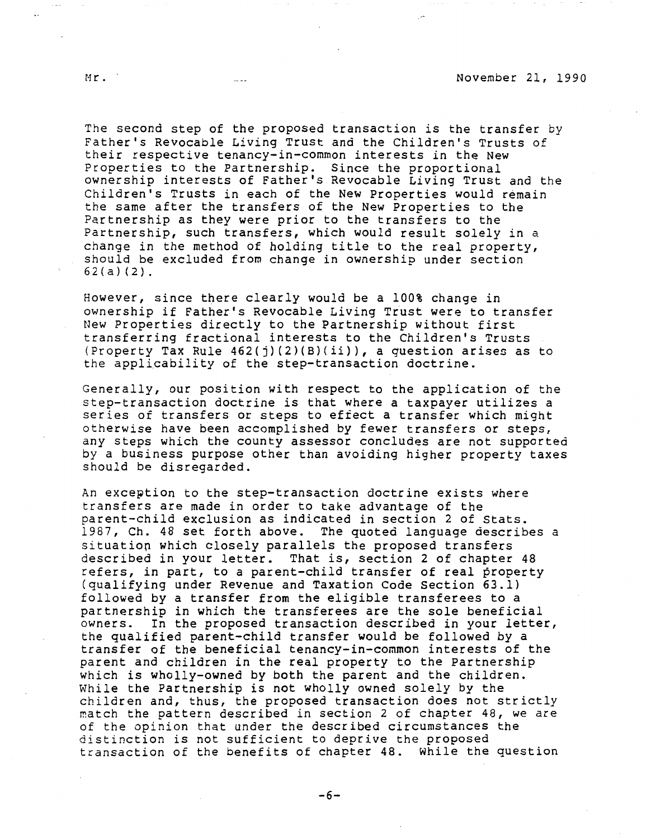The second step of the proposed transaction is the transfer by Father's Revocable Living Trust and the Children's Trusts of their respective tenancy-in-common interests in the New Properties to the Partnership. Since the proportional ownership interests of Father's Revocable Living Trust and the Children's Trusts in each of the New Properties would remain the same after the transfers of the New Properties to the Partnership as they were prior to the transfers to the Partnership, such transfers, which would result solely in a change in the method of holding title to the real property, should be excluded from change in ownership under section 62(a)(2).

However, since there clearly would be a 100% change in ownership if Father's Revocable Living Trust were to transfer New Properties directly to the Partnership without first transferring fractional interests to the Children's Trusts (Property Tax Rule  $462(j)(2)(B)(ii)$ ), a question arises as to the applicability of the step-transaction doctrine.

Generally, our position with respect to the application of the step-transaction doctrine is that where a taxpayer utilizes a series of transfers or steps to effect a transfer which might otherwise have been accomplished by fewer transfers or steps, any steps which the county assessor concludes are not supported by a business purpose other than avoiding higher property taxes should be disregarded.

An exception to the step-transaction doctrine exists where transfers are made in order to take advantage of the parent-child exclusion as indicated in section 2 of Stats. 1987, Ch. 48 set forth above. The quoted language describes a situatiop which closely parallels the proposed transfers described in your letter. That is, section 2 of chapter 48 refers, in part, to a parent-child transfer of real property (qualifying under Revenue and Taxation Code Section 63.1) followed by a transfer from the eligible transferees to a partnership in which the transferees are the sole beneficial owners. In the proposed transaction described in your letter, the qualified parent-child transfer would be followed by a transfer of the beneficial tenancy-in-common interests of the parent and children in the real property to the Partnership which is wholly-owned by both the parent and the children. While the Partnership is not wholly owned solely by the children and, thus, the proposed transaction does not strictly match the pattern described in section 2 of chapter 48, we are of the opinion that under the described circumstances the distinction is not sufficient to deprive the proposed transaction of the benefits of chapter 48. While the question